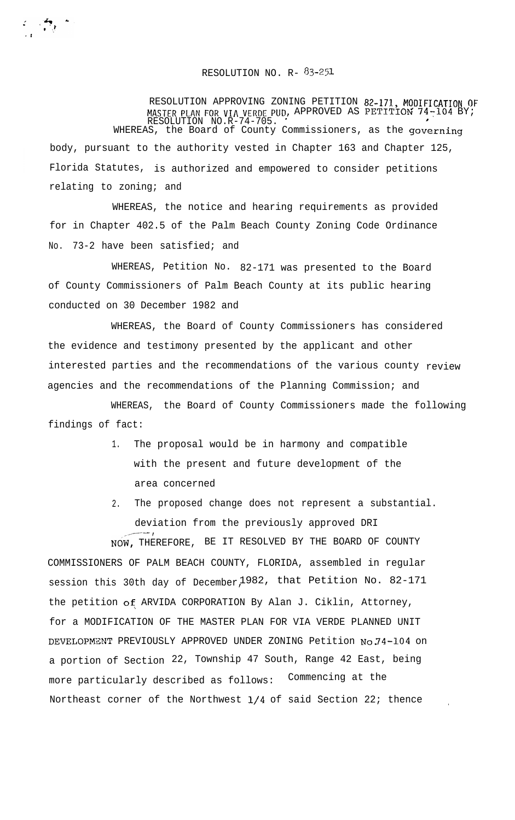## RESOLUTION NO. R-  $83-251$

 $\label{eq:2} \mathcal{L} = \frac{1}{2} \sum_{i=1}^n \frac{1}{2} \sum_{j=1}^n \frac{1}{2} \sum_{j=1}^n \frac{1}{2} \sum_{j=1}^n \frac{1}{2} \sum_{j=1}^n \frac{1}{2} \sum_{j=1}^n \frac{1}{2} \sum_{j=1}^n \frac{1}{2} \sum_{j=1}^n \frac{1}{2} \sum_{j=1}^n \frac{1}{2} \sum_{j=1}^n \frac{1}{2} \sum_{j=1}^n \frac{1}{2} \sum_{j=1}^n \frac{1}{2} \sum_{j=1}$ 

RESOLUTION APPROVING ZONING PETITION 82-171, MODIFICATION OF MASTER PLAN FOR VIA VERDE PUD, APPROVED AS PETITION  $74-104$  BY; RESOLUTION NO.R-74-705. ' WHEREAS, the Board of County Commissioners, as the governing body, pursuant to the authority vested in Chapter 163 and Chapter 125, Florida Statutes, is authorized and empowered to consider petitions relating to zoning; and

WHEREAS, the notice and hearing requirements as provided for in Chapter 402.5 of the Palm Beach County Zoning Code Ordinance No. 73-2 have been satisfied; and

WHEREAS, Petition No. 82-171 was presented to the Board of County Commissioners of Palm Beach County at its public hearing conducted on 30 December 1982 and

WHEREAS, the Board of County Commissioners has considered the evidence and testimony presented by the applicant and other interested parties and the recommendations of the various county review agencies and the recommendations of the Planning Commission; and

WHEREAS, the Board of County Commissioners made the following findings of fact:

- 1. The proposal would be in harmony and compatible with the present and future development of the area concerned
- 2. The proposed change does not represent a substantial. deviation from the previously approved DRI ,,---- ,

NOW, THEREFORE, BE IT RESOLVED BY THE BOARD OF COUNTY COMMISSIONERS OF PALM BEACH COUNTY, FLORIDA, assembled in regular session this 30th day of December,1982, that Petition No. 82-171 the petition of ARVIDA CORPORATION By Alan J. Ciklin, Attorney, for a MODIFICATION OF THE MASTER PLAN FOR VIA VERDE PLANNED UNIT DEVELOPMENT PREVIOUSLY APPROVED UNDER ZONING Petition No.74-104 on a portion of Section 22, Township 47 South, Range 42 East, being more particularly described as follows: Commencing at the Northeast corner of the Northwest  $1/4$  of said Section 22; thence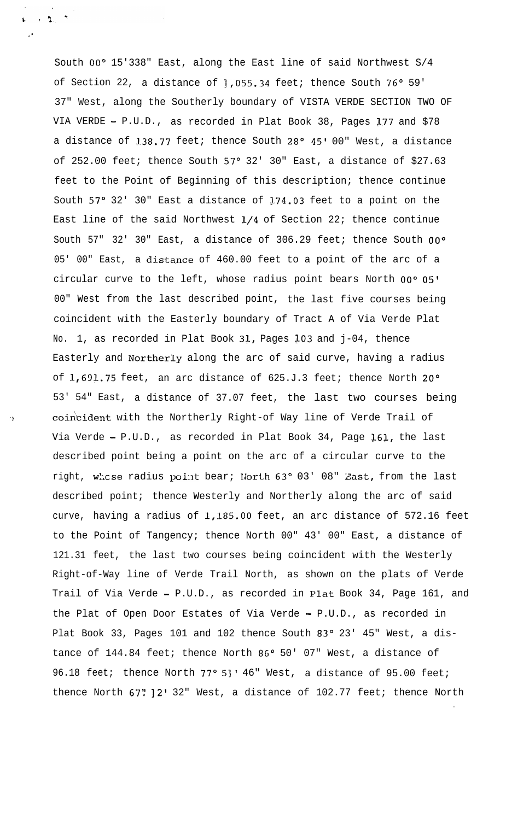South OO" 15'338" East, along the East line of said Northwest S/4 of Section 22, a distance of 1,055.34 feet; thence South 76° 59' 37" West, along the Southerly boundary of VISTA VERDE SECTION TWO OF VIA VERDE - P.U.D., as recorded in Plat Book 38, Pages 177 and \$78 a distance of 138.77 feet; thence South 28° 45' 00" West, a distance of 252.00 feet; thence South 57° 32' 30" East, a distance of \$27.63 feet to the Point of Beginning of this description; thence continue South 57° 32' 30" East a distance of 174.03 feet to a point on the East line of the said Northwest  $1/4$  of Section 22; thence continue South 57" 32' 30" East, a distance of 306.29 feet; thence South 00° 05' 00" East, a distance of 460.00 feet to a point of the arc of a circular curve to the left, whose radius point bears North OO" 05' 00" West from the last described point, the last five courses being coincident with the Easterly boundary of Tract A of Via Verde Plat No. 1, as recorded in Plat Book 31, Pages 103 and j-04, thence Easterly and Northerly along the arc of said curve, having a radius of 1,691.75 feet, an arc distance of 625.J.3 feet; thence North 20° 53' 54" East, a distance of 37.07 feet, the last two courses being coincident with the Northerly Right-of Way line of Verde Trail of Via Verde - P.U.D., as recorded in Plat Book 34, Page  $161$ , the last described point being a point on the arc of a circular curve to the right, whose radius point bear; North 63° 03' 08" East, from the last described point; thence Westerly and Northerly along the arc of said curve, having a radius of 1,185.OO feet, an arc distance of 572.16 feet to the Point of Tangency; thence North 00" 43' 00" East, a distance of 121.31 feet, the last two courses being coincident with the Westerly Right-of-Way line of Verde Trail North, as shown on the plats of Verde Trail of Via Verde - P.U.D., as recorded in Plat Book 34, Page 161, and the Plat of Open Door Estates of Via Verde - P.U.D., as recorded in Plat Book 33, Pages 101 and 102 thence South 83° 23' 45" West, a distance of 144.84 feet; thence North 86° 50' 07" West, a distance of 96.18 feet; thence North 77° 5]' 46" West, a distance of 95.00 feet; thence North 67" ] 2' 32" West, a distance of 102.77 feet; thence North

.

.'

 $\mathbf{p} = \mathbf{e}^{\mathrm{T}} \mathbf{h} \mathbf{e}^{-\frac{1}{2}}$